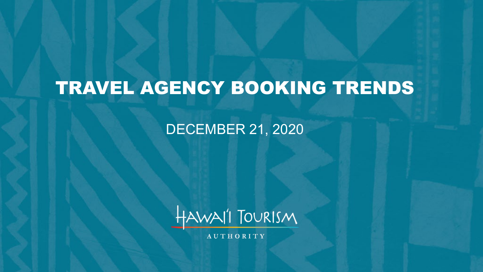# TRAVEL AGENCY BOOKING TRENDS

### DECEMBER 21, 2020



**AUTHORITY**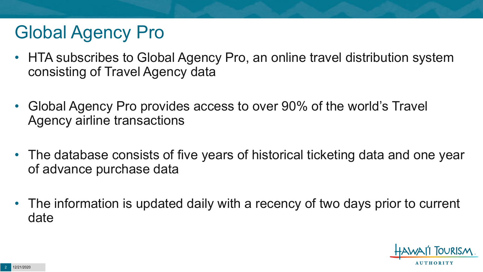# Global Agency Pro

- HTA subscribes to Global Agency Pro, an online travel distribution system consisting of Travel Agency data
- Global Agency Pro provides access to over 90% of the world's Travel Agency airline transactions
- The database consists of five years of historical ticketing data and one year of advance purchase data
- The information is updated daily with a recency of two days prior to current date

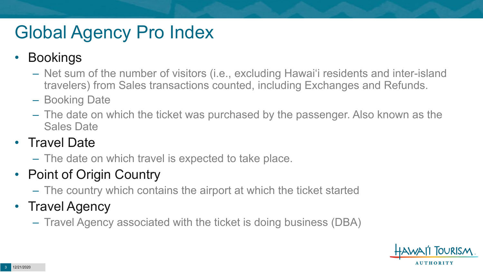# Global Agency Pro Index

### • Bookings

- Net sum of the number of visitors (i.e., excluding Hawai'i residents and inter-island travelers) from Sales transactions counted, including Exchanges and Refunds.
- Booking Date
- The date on which the ticket was purchased by the passenger. Also known as the Sales Date

### • Travel Date

– The date on which travel is expected to take place.

## • Point of Origin Country

– The country which contains the airport at which the ticket started

## • Travel Agency

– Travel Agency associated with the ticket is doing business (DBA)

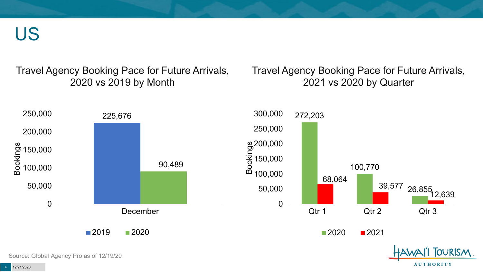US

Travel Agency Booking Pace for Future Arrivals, 2020 vs 2019 by Month

Travel Agency Booking Pace for Future Arrivals, 2021 vs 2020 by Quarter

**AUTHORITY** 



Source: Global Agency Pro as of 12/19/20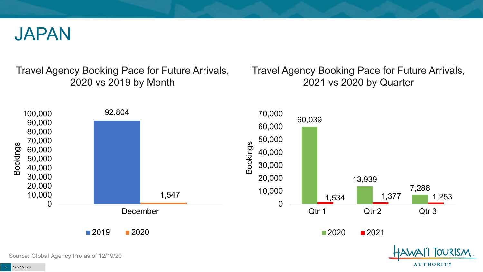

Travel Agency Booking Pace for Future Arrivals, 2020 vs 2019 by Month

Travel Agency Booking Pace for Future Arrivals, 2021 vs 2020 by Quarter

**AUTHORITY** 



Source: Global Agency Pro as of 12/19/20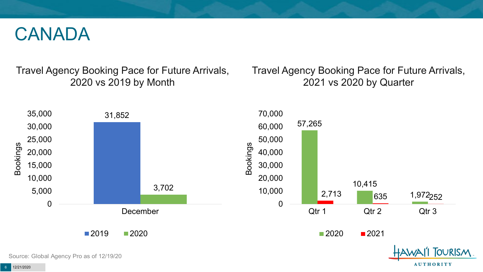## CANADA

Travel Agency Booking Pace for Future Arrivals, 2020 vs 2019 by Month

Travel Agency Booking Pace for Future Arrivals, 2021 vs 2020 by Quarter

**AUTHORITY** 

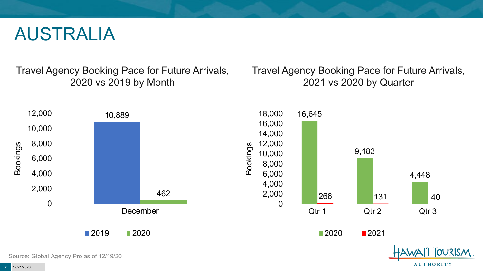## AUSTRALIA

Travel Agency Booking Pace for Future Arrivals, 2020 vs 2019 by Month

Travel Agency Booking Pace for Future Arrivals, 2021 vs 2020 by Quarter

**AUTHORITY** 

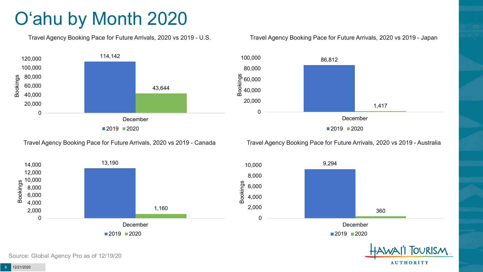# O'ahu by Month 2020

Travel Agency Booking Pace for Future Arrivals, 2020 vs 2019 - U.S.



#### Travel Agency Booking Pace for Future Arrivals, 2020 vs 2019 - Japan



Travel Agency Booking Pace for Future Arrivals, 2020 vs 2019 - Canada

Travel Agency Booking Pace for Future Arrivals, 2020 vs 2019 - Australia

**TOURISM** 

**AUTHORITY** 



Source: Global Agency Pro as of 12/19/20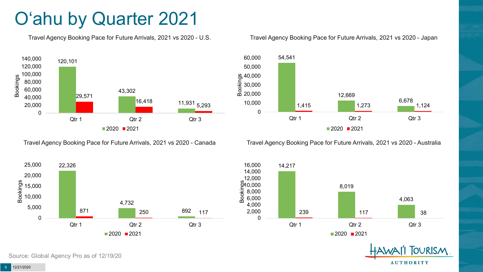# O'ahu by Quarter 2021

Travel Agency Booking Pace for Future Arrivals, 2021 vs 2020 - U.S.



Travel Agency Booking Pace for Future Arrivals, 2021 vs 2020 - Canada





Travel Agency Booking Pace for Future Arrivals, 2021 vs 2020 - Australia





**OURISM AUTHORITY** 

9 12/21/2020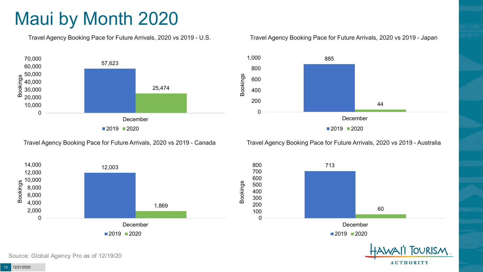# Maui by Month 2020

Travel Agency Booking Pace for Future Arrivals, 2020 vs 2019 - U.S.



Travel Agency Booking Pace for Future Arrivals, 2020 vs 2019 - Canada





Travel Agency Booking Pace for Future Arrivals, 2020 vs 2019 - Australia



800 713 700 600 500 400 300 200 60 100 0 December  $2019$  2020 **TOURISM** 

**AUTHORITY** 

Source: Global Agency Pro as of 12/19/20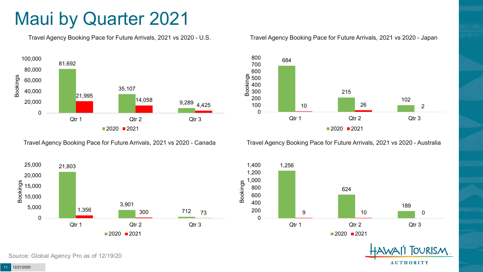## Maui by Quarter 2021

Travel Agency Booking Pace for Future Arrivals, 2021 vs 2020 - U.S.



Travel Agency Booking Pace for Future Arrivals, 2021 vs 2020 - Canada





Travel Agency Booking Pace for Future Arrivals, 2021 vs 2020 - Australia





**TOURISM AUTHORITY**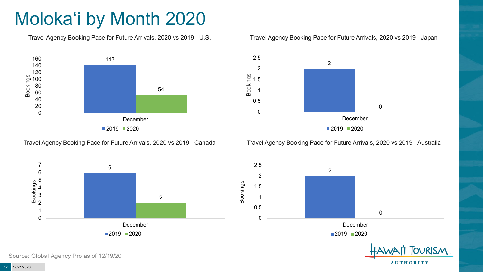# Moloka'i by Month 2020

Travel Agency Booking Pace for Future Arrivals, 2020 vs 2019 - U.S.



Travel Agency Booking Pace for Future Arrivals, 2020 vs 2019 - Canada





Travel Agency Booking Pace for Future Arrivals, 2020 vs 2019 - Australia



2  $\Omega$ 0 0.5 1 1.5 2 2.5 December  $2019$  2020

**TOURISM AUTHORITY**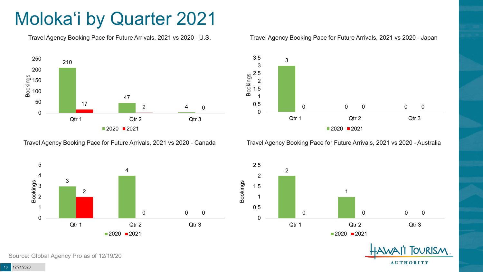# Moloka'i by Quarter 2021

Travel Agency Booking Pace for Future Arrivals, 2021 vs 2020 - U.S.



Travel Agency Booking Pace for Future Arrivals, 2021 vs 2020 - Canada



#### Travel Agency Booking Pace for Future Arrivals, 2021 vs 2020 - Japan



Travel Agency Booking Pace for Future Arrivals, 2021 vs 2020 - Australia





Source: Global Agency Pro as of 12/19/20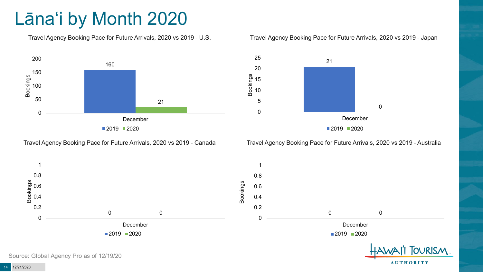# Lāna'i by Month 2020

Travel Agency Booking Pace for Future Arrivals, 2020 vs 2019 - U.S.



Travel Agency Booking Pace for Future Arrivals, 2020 vs 2019 - Canada

#### Travel Agency Booking Pace for Future Arrivals, 2020 vs 2019 - Japan



Travel Agency Booking Pace for Future Arrivals, 2020 vs 2019 - Australia

**AUTHORITY** 



Source: Global Agency Pro as of 12/19/20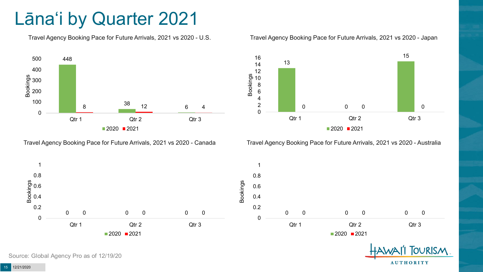## Lāna'i by Quarter 2021

Travel Agency Booking Pace for Future Arrivals, 2021 vs 2020 - U.S.



Travel Agency Booking Pace for Future Arrivals, 2021 vs 2020 - Canada





Travel Agency Booking Pace for Future Arrivals, 2021 vs 2020 - Australia





Source: Global Agency Pro as of 12/19/20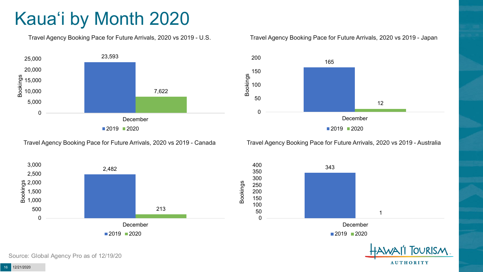# Kaua'i by Month 2020

Travel Agency Booking Pace for Future Arrivals, 2020 vs 2019 - U.S.



Travel Agency Booking Pace for Future Arrivals, 2020 vs 2019 - Canada





Travel Agency Booking Pace for Future Arrivals, 2020 vs 2019 - Australia



400 343 350 300 250 200 150 100 50 1 0 December  $2019$  2020 **TOURISM** 

**AUTHORITY**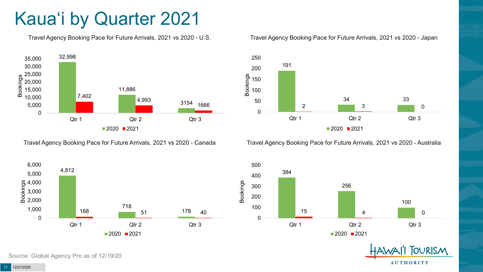# Kaua'i by Quarter 2021

Travel Agency Booking Pace for Future Arrivals, 2021 vs 2020 - U.S.



Travel Agency Booking Pace for Future Arrivals, 2021 vs 2020 - Canada



Qtr 1 Qtr 2 Qtr 3

 $2020$  2021

Source: Global Agency Pro as of 12/19/20

#### Travel Agency Booking Pace for Future Arrivals, 2021 vs 2020 - Japan



Travel Agency Booking Pace for Future Arrivals, 2021 vs 2020 - Australia



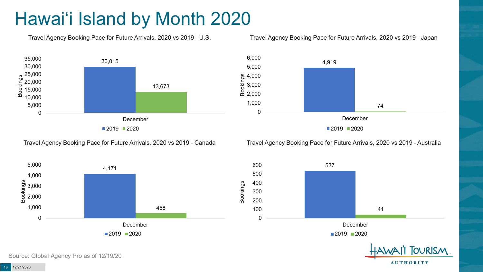# Hawai'i Island by Month 2020

Travel Agency Booking Pace for Future Arrivals, 2020 vs 2019 - U.S.

### Travel Agency Booking Pace for Future Arrivals, 2020 vs 2019 - Japan



4,919 74 0 1,000 2,000 3,000  $\frac{6}{5}$  4,000<br> $\frac{6}{5}$  3,000<br>0 2.000 5,000 6,000 December ■2019 2020

Travel Agency Booking Pace for Future Arrivals, 2020 vs 2019 - Canada

Travel Agency Booking Pace for Future Arrivals, 2020 vs 2019 - Australia





**AUTHORITY** 

Source: Global Agency Pro as of 12/19/20